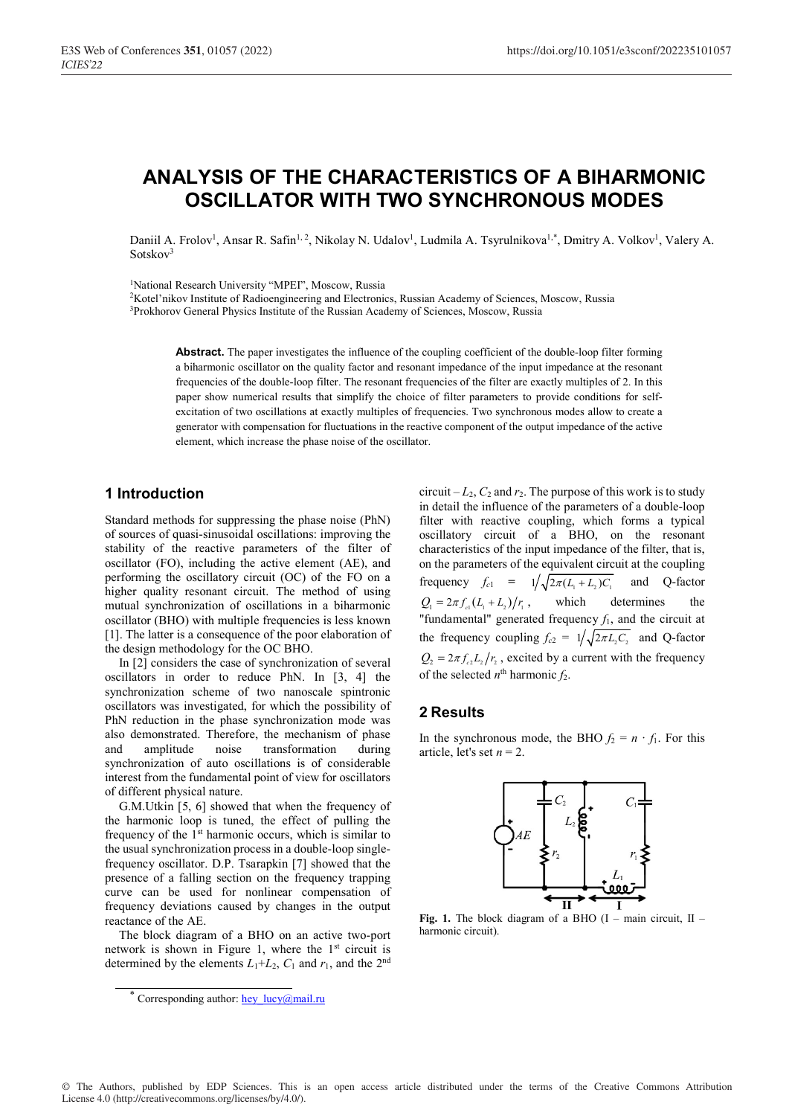# **ANALYSIS OF THE CHARACTERISTICS OF A BIHARMONIC OSCILLATOR WITH TWO SYNCHRONOUS MODES**

Daniil A. Frolov<sup>1</sup>, Ansar R. Safin<sup>1, 2</sup>, Nikolay N. Udalov<sup>1</sup>, Ludmila A. Tsyrulnikova<sup>1,\*</sup>, Dmitry A. Volkov<sup>1</sup>, Valery A. Sotskov<sup>3</sup>

<sup>1</sup>National Research University "MPEI", Moscow, Russia

2 Kotel'nikov Institute of Radioengineering and Electronics, Russian Academy of Sciences, Moscow, Russia <sup>3</sup>Prokhorov General Physics Institute of the Russian Academy of Sciences, Moscow, Russia

**Abstract.** The paper investigates the influence of the coupling coefficient of the double-loop filter forming a biharmonic oscillator on the quality factor and resonant impedance of the input impedance at the resonant frequencies of the double-loop filter. The resonant frequencies of the filter are exactly multiples of 2. In this paper show numerical results that simplify the choice of filter parameters to provide conditions for selfexcitation of two oscillations at exactly multiples of frequencies. Two synchronous modes allow to create a generator with compensation for fluctuations in the reactive component of the output impedance of the active element, which increase the phase noise of the oscillator.

#### **1 Introduction**

Standard methods for suppressing the phase noise (PhN) of sources of quasi-sinusoidal oscillations: improving the stability of the reactive parameters of the filter of oscillator (FO), including the active element (AE), and performing the oscillatory circuit (OC) of the FO on a higher quality resonant circuit. The method of using mutual synchronization of oscillations in a biharmonic oscillator (BHO) with multiple frequencies is less known [1]. The latter is a consequence of the poor elaboration of the design methodology for the OC BHO.

In [2] considers the case of synchronization of several oscillators in order to reduce PhN. In [3, 4] the synchronization scheme of two nanoscale spintronic oscillators was investigated, for which the possibility of PhN reduction in the phase synchronization mode was also demonstrated. Therefore, the mechanism of phase and amplitude noise transformation during synchronization of auto oscillations is of considerable interest from the fundamental point of view for oscillators of different physical nature.

G.M.Utkin [5, 6] showed that when the frequency of the harmonic loop is tuned, the effect of pulling the frequency of the  $1<sup>st</sup>$  harmonic occurs, which is similar to the usual synchronization process in a double-loop singlefrequency oscillator. D.P. Tsarapkin [7] showed that the presence of a falling section on the frequency trapping curve can be used for nonlinear compensation of frequency deviations caused by changes in the output reactance of the AE.

The block diagram of a BHO on an active two-port network is shown in Figure 1, where the 1<sup>st</sup> circuit is determined by the elements  $L_1+L_2$ ,  $C_1$  and  $r_1$ , and the 2<sup>nd</sup> circuit  $-L_2$ ,  $C_2$  and  $r_2$ . The purpose of this work is to study in detail the influence of the parameters of a double-loop filter with reactive coupling, which forms a typical oscillatory circuit of a BHO, on the resonant characteristics of the input impedance of the filter, that is, on the parameters of the equivalent circuit at the coupling frequency  $f_{c1} = 1/\sqrt{2\pi (L_1 + L_2)C_1}$  and Q-factor  $Q_1 = 2\pi f_{\text{el}}(L_1 + L_2)/r_1$ , which determines the "fundamental" generated frequency  $f_1$ , and the circuit at the frequency coupling  $f_{c2} = 1/\sqrt{2\pi L_2 C_2}$  and Q-factor  $Q_2 = 2\pi f_{c2} L_2 / r_2$ , excited by a current with the frequency of the selected  $n^{\text{th}}$  harmonic  $f_2$ .

#### **2 Results**

In the synchronous mode, the BHO  $f_2 = n \cdot f_1$ . For this article, let's set  $n = 2$ .



Fig. 1. The block diagram of a BHO (I – main circuit, II – harmonic circuit).

<sup>\*</sup> Corresponding author: hey\_lucy@mail.ru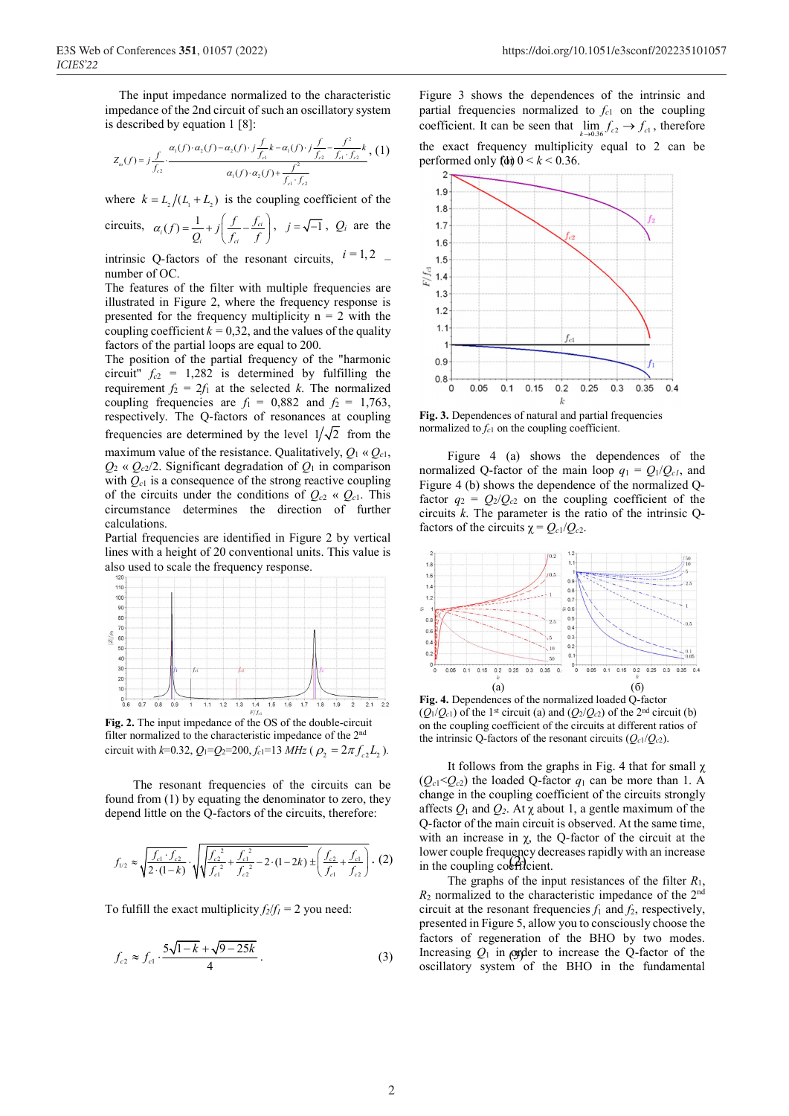The input impedance normalized to the characteristic impedance of the 2nd circuit of such an oscillatory system is described by equation 1 [8]:

$$
Z_{in}(f) = j \frac{f}{f_{c2}} \cdot \frac{\alpha_1(f) \cdot \alpha_2(f) - \alpha_2(f) \cdot j \frac{f}{f_{c1}} k - \alpha_1(f) \cdot j \frac{f}{f_{c2}} - \frac{f^2}{f_{c1} \cdot f_{c2}} k}{\alpha_1(f) \cdot \alpha_2(f) + \frac{f^2}{f_{c1} \cdot f_{c2}}}, (1)
$$

where  $k = L_1 / (L_1 + L_2)$  is the coupling coefficient of the

circuits, 
$$
\alpha_i(f) = \frac{1}{Q_i} + j \left( \frac{f}{f_{ci}} - \frac{f_{ci}}{f} \right)
$$
,  $j = \sqrt{-1}$ ,  $Q_i$  are the

intrinsic Q-factors of the resonant circuits,  $i = 1, 2$ number of OC.

The features of the filter with multiple frequencies are illustrated in Figure 2, where the frequency response is presented for the frequency multiplicity  $n = 2$  with the coupling coefficient  $k = 0.32$ , and the values of the quality factors of the partial loops are equal to 200.

The position of the partial frequency of the "harmonic circuit"  $f_{c2}$  = 1,282 is determined by fulfilling the requirement  $f_2 = 2f_1$  at the selected *k*. The normalized coupling frequencies are  $f_1 = 0,882$  and  $f_2 = 1,763$ , respectively. The Q-factors of resonances at coupling frequencies are determined by the level  $1/\sqrt{2}$  from the maximum value of the resistance. Qualitatively,  $Q_1 \propto Q_{c1}$ ,  $Q_2 \propto Q_c$ 2. Significant degradation of  $Q_1$  in comparison with  $Q_{c1}$  is a consequence of the strong reactive coupling of the circuits under the conditions of  $Q_{c2} \ll Q_{c1}$ . This circumstance determines the direction of further calculations.

Partial frequencies are identified in Figure 2 by vertical lines with a height of 20 conventional units. This value is also used to scale the frequency response.



**Fig. 2.** The input impedance of the OS of the double-circuit filter normalized to the characteristic impedance of the 2nd circuit with  $k=0.32$ ,  $Q_1=Q_2=200$ ,  $f_{c1}=13$   $MHz$  ( $\rho_2=2\pi f_c L_2$ ).

The resonant frequencies of the circuits can be found from (1) by equating the denominator to zero, they depend little on the Q-factors of the circuits, therefore:

$$
f_{1/2} \approx \sqrt{\frac{f_{c1} \cdot f_{c2}}{2 \cdot (1-k)}} \cdot \sqrt{\sqrt{\frac{f_{c2}^2}{f_{c1}^2} + \frac{f_{c1}^2}{f_{c2}^2} - 2 \cdot (1-2k)}} \pm \left(\frac{f_{c2}}{f_{c1}} + \frac{f_{c1}}{f_{c2}}\right)} \cdot (2)
$$

To fulfill the exact multiplicity  $f_2/f_1 = 2$  you need:

$$
f_{c2} \approx f_{c1} \cdot \frac{5\sqrt{1-k} + \sqrt{9-25k}}{4} \,. \tag{3}
$$

, (1) the exact frequency multiplicity performed only  $f(d)$   $0 < k < 0.36$ . Figure 3 shows the dependences of the intrinsic and partial frequencies normalized to  $f_c$ <sup>1</sup> on the coupling coefficient. It can be seen that  $\lim_{k \to \infty} f_{c2} \to f_{c1}$ , therefore the exact frequency multiplicity equal to 2 can be



**Fig. 3.** Dependences of natural and partial frequencies normalized to  $f_{c1}$  on the coupling coefficient.

 Figure 4 (a) shows the dependences of the normalized Q-factor of the main loop  $q_1 = Q_1/Q_{c1}$ , and Figure 4 (b) shows the dependence of the normalized Qfactor  $q_2 = Q_2/Q_{c2}$  on the coupling coefficient of the circuits *k*. The parameter is the ratio of the intrinsic Qfactors of the circuits  $\chi = Q_{c1}/Q_{c2}$ .



**Fig. 4.** Dependences of the normalized loaded Q-factor  $(Q_1/Q_{c1})$  of the 1<sup>st</sup> circuit (a) and  $(Q_2/Q_{c2})$  of the 2<sup>nd</sup> circuit (b) on the coupling coefficient of the circuits at different ratios of the intrinsic Q-factors of the resonant circuits  $(Q_{c1}/Q_{c2})$ .

 $(2)$  lower couple frequency dec.<br>in the coupling coefficient. It follows from the graphs in Fig. 4 that for small  $\chi$  $(Q_{c1} < Q_{c2})$  the loaded Q-factor  $q_1$  can be more than 1. A change in the coupling coefficient of the circuits strongly affects  $Q_1$  and  $Q_2$ . At  $\chi$  about 1, a gentle maximum of the Q-factor of the main circuit is observed. At the same time, with an increase in  $\gamma$ , the Q-factor of the circuit at the lower couple frequency decreases rapidly with an increase

 $f_c \approx f_c$   $\frac{5\sqrt{1-k} + \sqrt{9-25k}}{1-\sqrt{3}}$  (3) Increasing  $Q_1$  in order to increase the Q-factor of the The graphs of the input resistances of the filter *R*1,  $R_2$  normalized to the characteristic impedance of the  $2<sup>nd</sup>$ circuit at the resonant frequencies  $f_1$  and  $f_2$ , respectively, presented in Figure 5, allow you to consciously choose the factors of regeneration of the BHO by two modes. oscillatory system of the BHO in the fundamental